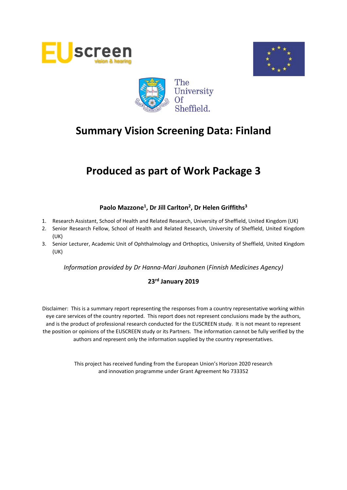





# **Produced as part of Work Package 3**

## **Paolo Mazzone<sup>1</sup> , Dr Jill Carlton<sup>2</sup> , Dr Helen Griffiths<sup>3</sup>**

- 1. Research Assistant, School of Health and Related Research, University of Sheffield, United Kingdom (UK)
- 2. Senior Research Fellow, School of Health and Related Research, University of Sheffield, United Kingdom (UK)
- 3. Senior Lecturer, Academic Unit of Ophthalmology and Orthoptics, University of Sheffield, United Kingdom (UK)

*Information provided by Dr Hanna-Mari Jauhonen* (*Finnish Medicines Agency)*

## **23 rd January 2019**

Disclaimer: This is a summary report representing the responses from a country representative working within eye care services of the country reported. This report does not represent conclusions made by the authors, and is the product of professional research conducted for the EUSCREEN study. It is not meant to represent the position or opinions of the EUSCREEN study or its Partners. The information cannot be fully verified by the authors and represent only the information supplied by the country representatives.

> This project has received funding from the European Union's Horizon 2020 research and innovation programme under Grant Agreement No 733352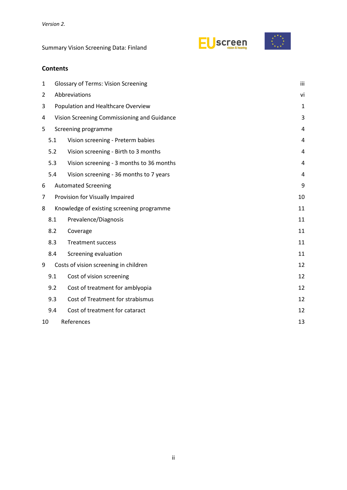



## **Contents**

| $\mathbf{1}$   |                                          | <b>Glossary of Terms: Vision Screening</b>  |    |  |  |  |  |
|----------------|------------------------------------------|---------------------------------------------|----|--|--|--|--|
| $\overline{2}$ |                                          | Abbreviations                               |    |  |  |  |  |
| 3              |                                          | Population and Healthcare Overview          |    |  |  |  |  |
| 4              |                                          | Vision Screening Commissioning and Guidance |    |  |  |  |  |
| 5              | Screening programme                      |                                             |    |  |  |  |  |
|                | 5.1<br>Vision screening - Preterm babies |                                             |    |  |  |  |  |
|                | 5.2                                      | Vision screening - Birth to 3 months        | 4  |  |  |  |  |
|                | 5.3                                      | Vision screening - 3 months to 36 months    | 4  |  |  |  |  |
|                | 5.4                                      | Vision screening - 36 months to 7 years     | 4  |  |  |  |  |
| 6              |                                          | <b>Automated Screening</b>                  | 9  |  |  |  |  |
| 7              |                                          | Provision for Visually Impaired             | 10 |  |  |  |  |
| 8              |                                          | Knowledge of existing screening programme   | 11 |  |  |  |  |
|                | 8.1                                      | Prevalence/Diagnosis                        | 11 |  |  |  |  |
|                | 8.2                                      | Coverage                                    | 11 |  |  |  |  |
|                | 8.3                                      | <b>Treatment success</b>                    | 11 |  |  |  |  |
|                | 8.4                                      | Screening evaluation                        | 11 |  |  |  |  |
| 9              |                                          | Costs of vision screening in children       | 12 |  |  |  |  |
|                | 9.1                                      | Cost of vision screening                    | 12 |  |  |  |  |
|                | 9.2                                      | Cost of treatment for amblyopia             | 12 |  |  |  |  |
|                | 9.3                                      | Cost of Treatment for strabismus            | 12 |  |  |  |  |
|                | 9.4                                      | Cost of treatment for cataract              | 12 |  |  |  |  |
|                | References<br>10                         |                                             |    |  |  |  |  |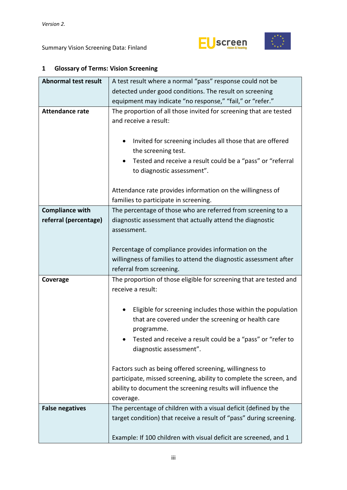



## <span id="page-2-0"></span>**1 Glossary of Terms: Vision Screening**

| <b>Abnormal test result</b>                     | A test result where a normal "pass" response could not be                                                                                                                                                                      |  |  |  |  |  |
|-------------------------------------------------|--------------------------------------------------------------------------------------------------------------------------------------------------------------------------------------------------------------------------------|--|--|--|--|--|
|                                                 | detected under good conditions. The result on screening                                                                                                                                                                        |  |  |  |  |  |
|                                                 | equipment may indicate "no response," "fail," or "refer."                                                                                                                                                                      |  |  |  |  |  |
| <b>Attendance rate</b>                          | The proportion of all those invited for screening that are tested<br>and receive a result:                                                                                                                                     |  |  |  |  |  |
|                                                 | Invited for screening includes all those that are offered<br>$\bullet$<br>the screening test.<br>Tested and receive a result could be a "pass" or "referral<br>٠<br>to diagnostic assessment".                                 |  |  |  |  |  |
|                                                 | Attendance rate provides information on the willingness of<br>families to participate in screening.                                                                                                                            |  |  |  |  |  |
| <b>Compliance with</b><br>referral (percentage) | The percentage of those who are referred from screening to a<br>diagnostic assessment that actually attend the diagnostic<br>assessment.                                                                                       |  |  |  |  |  |
|                                                 | Percentage of compliance provides information on the<br>willingness of families to attend the diagnostic assessment after<br>referral from screening.                                                                          |  |  |  |  |  |
| Coverage                                        | The proportion of those eligible for screening that are tested and<br>receive a result:                                                                                                                                        |  |  |  |  |  |
|                                                 | Eligible for screening includes those within the population<br>٠<br>that are covered under the screening or health care<br>programme.<br>Tested and receive a result could be a "pass" or "refer to<br>diagnostic assessment". |  |  |  |  |  |
|                                                 | Factors such as being offered screening, willingness to<br>participate, missed screening, ability to complete the screen, and<br>ability to document the screening results will influence the<br>coverage.                     |  |  |  |  |  |
| <b>False negatives</b>                          | The percentage of children with a visual deficit (defined by the<br>target condition) that receive a result of "pass" during screening.<br>Example: If 100 children with visual deficit are screened, and 1                    |  |  |  |  |  |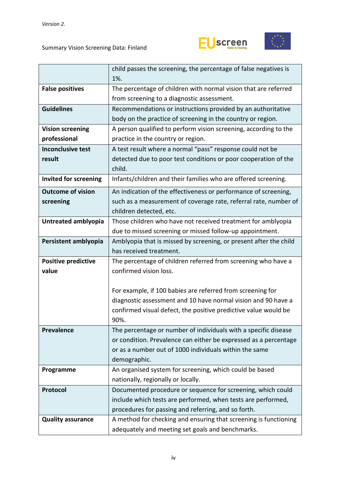



|                              | child passes the screening, the percentage of false negatives is  |  |  |  |  |  |
|------------------------------|-------------------------------------------------------------------|--|--|--|--|--|
|                              | 1%.                                                               |  |  |  |  |  |
| <b>False positives</b>       | The percentage of children with normal vision that are referred   |  |  |  |  |  |
|                              | from screening to a diagnostic assessment.                        |  |  |  |  |  |
| <b>Guidelines</b>            | Recommendations or instructions provided by an authoritative      |  |  |  |  |  |
|                              | body on the practice of screening in the country or region.       |  |  |  |  |  |
| <b>Vision screening</b>      | A person qualified to perform vision screening, according to the  |  |  |  |  |  |
| professional                 | practice in the country or region.                                |  |  |  |  |  |
| <b>Inconclusive test</b>     | A test result where a normal "pass" response could not be         |  |  |  |  |  |
| result                       | detected due to poor test conditions or poor cooperation of the   |  |  |  |  |  |
|                              | child.                                                            |  |  |  |  |  |
| <b>Invited for screening</b> | Infants/children and their families who are offered screening.    |  |  |  |  |  |
| <b>Outcome of vision</b>     | An indication of the effectiveness or performance of screening,   |  |  |  |  |  |
| screening                    | such as a measurement of coverage rate, referral rate, number of  |  |  |  |  |  |
|                              | children detected, etc.                                           |  |  |  |  |  |
| Untreated amblyopia          | Those children who have not received treatment for amblyopia      |  |  |  |  |  |
|                              | due to missed screening or missed follow-up appointment.          |  |  |  |  |  |
| Persistent amblyopia         | Amblyopia that is missed by screening, or present after the child |  |  |  |  |  |
|                              | has received treatment.                                           |  |  |  |  |  |
| <b>Positive predictive</b>   | The percentage of children referred from screening who have a     |  |  |  |  |  |
| value                        | confirmed vision loss.                                            |  |  |  |  |  |
|                              |                                                                   |  |  |  |  |  |
|                              | For example, if 100 babies are referred from screening for        |  |  |  |  |  |
|                              | diagnostic assessment and 10 have normal vision and 90 have a     |  |  |  |  |  |
|                              | confirmed visual defect, the positive predictive value would be   |  |  |  |  |  |
|                              | 90%.                                                              |  |  |  |  |  |
| <b>Prevalence</b>            | The percentage or number of individuals with a specific disease   |  |  |  |  |  |
|                              | or condition. Prevalence can either be expressed as a percentage  |  |  |  |  |  |
|                              | or as a number out of 1000 individuals within the same            |  |  |  |  |  |
|                              | demographic.                                                      |  |  |  |  |  |
| Programme                    | An organised system for screening, which could be based           |  |  |  |  |  |
|                              | nationally, regionally or locally.                                |  |  |  |  |  |
| Protocol                     | Documented procedure or sequence for screening, which could       |  |  |  |  |  |
|                              | include which tests are performed, when tests are performed,      |  |  |  |  |  |
|                              | procedures for passing and referring, and so forth.               |  |  |  |  |  |
| <b>Quality assurance</b>     | A method for checking and ensuring that screening is functioning  |  |  |  |  |  |
|                              | adequately and meeting set goals and benchmarks.                  |  |  |  |  |  |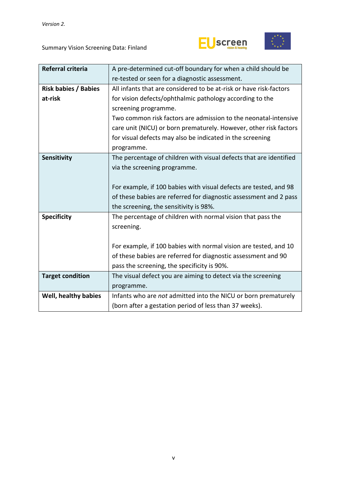



| Referral criteria           | A pre-determined cut-off boundary for when a child should be       |  |  |  |  |
|-----------------------------|--------------------------------------------------------------------|--|--|--|--|
|                             | re-tested or seen for a diagnostic assessment.                     |  |  |  |  |
| <b>Risk babies / Babies</b> | All infants that are considered to be at-risk or have risk-factors |  |  |  |  |
| at-risk                     | for vision defects/ophthalmic pathology according to the           |  |  |  |  |
|                             | screening programme.                                               |  |  |  |  |
|                             | Two common risk factors are admission to the neonatal-intensive    |  |  |  |  |
|                             | care unit (NICU) or born prematurely. However, other risk factors  |  |  |  |  |
|                             | for visual defects may also be indicated in the screening          |  |  |  |  |
|                             | programme.                                                         |  |  |  |  |
| Sensitivity                 | The percentage of children with visual defects that are identified |  |  |  |  |
|                             | via the screening programme.                                       |  |  |  |  |
|                             |                                                                    |  |  |  |  |
|                             | For example, if 100 babies with visual defects are tested, and 98  |  |  |  |  |
|                             | of these babies are referred for diagnostic assessment and 2 pass  |  |  |  |  |
|                             | the screening, the sensitivity is 98%.                             |  |  |  |  |
| <b>Specificity</b>          | The percentage of children with normal vision that pass the        |  |  |  |  |
|                             | screening.                                                         |  |  |  |  |
|                             |                                                                    |  |  |  |  |
|                             | For example, if 100 babies with normal vision are tested, and 10   |  |  |  |  |
|                             | of these babies are referred for diagnostic assessment and 90      |  |  |  |  |
|                             | pass the screening, the specificity is 90%.                        |  |  |  |  |
| <b>Target condition</b>     | The visual defect you are aiming to detect via the screening       |  |  |  |  |
|                             | programme.                                                         |  |  |  |  |
| Well, healthy babies        | Infants who are not admitted into the NICU or born prematurely     |  |  |  |  |
|                             | (born after a gestation period of less than 37 weeks).             |  |  |  |  |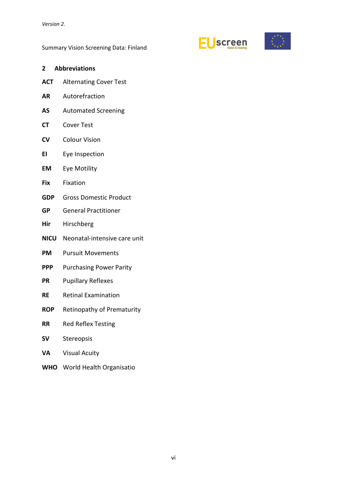



#### <span id="page-5-0"></span>**2 Abbreviations**

- **ACT** Alternating Cover Test
- **AR** Autorefraction
- **AS** Automated Screening
- **CT** Cover Test
- **CV** Colour Vision
- **EI** Eye Inspection
- **EM** Eye Motility
- **Fix** Fixation
- **GDP** Gross Domestic Product
- **GP** General Practitioner
- **Hir** Hirschberg
- **NICU** Neonatal-intensive care unit
- **PM** Pursuit Movements
- **PPP** Purchasing Power Parity
- **PR** Pupillary Reflexes
- **RE** Retinal Examination
- **ROP** Retinopathy of Prematurity
- **RR** Red Reflex Testing
- **SV** Stereopsis
- **VA** Visual Acuity
- **WHO** World Health Organisatio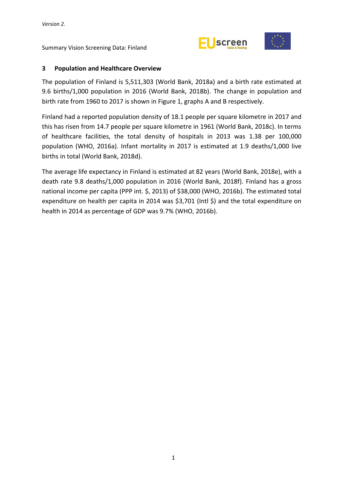



## <span id="page-6-0"></span>**3 Population and Healthcare Overview**

The population of Finland is 5,511,303 (World Bank, 2018a) and a birth rate estimated at 9.6 births/1,000 population in 2016 (World Bank, 2018b). The change in population and birth rate from 1960 to 2017 is shown in Figure 1, graphs A and B respectively.

Finland had a reported population density of 18.1 people per square kilometre in 2017 and this has risen from 14.7 people per square kilometre in 1961 (World Bank, 2018c). In terms of healthcare facilities, the total density of hospitals in 2013 was 1.38 per 100,000 population (WHO, 2016a). Infant mortality in 2017 is estimated at 1.9 deaths/1,000 live births in total (World Bank, 2018d).

The average life expectancy in Finland is estimated at 82 years (World Bank, 2018e), with a death rate 9.8 deaths/1,000 population in 2016 (World Bank, 2018f). Finland has a gross national income per capita (PPP int. \$, 2013) of \$38,000 (WHO, 2016b). The estimated total expenditure on health per capita in 2014 was \$3,701 (Intl \$) and the total expenditure on health in 2014 as percentage of GDP was 9.7% (WHO, 2016b).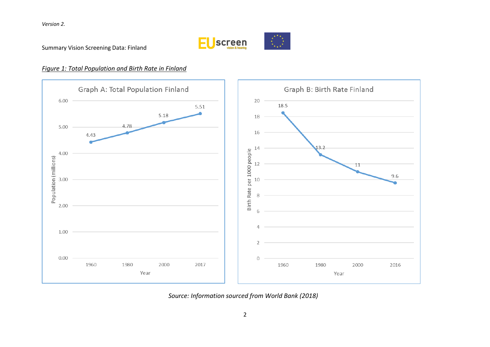

Summary Vision Screening Data: Finland

## *Figure 1: Total Population and Birth Rate in Finland*



*Source: Information sourced from World Bank (2018)*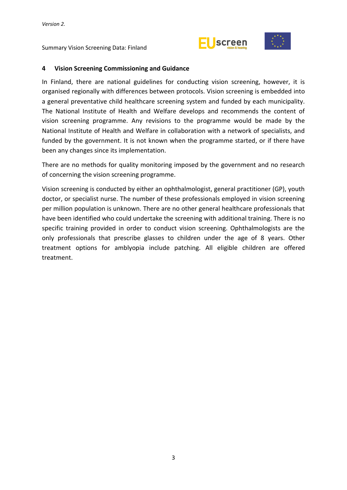



#### <span id="page-8-0"></span>**4 Vision Screening Commissioning and Guidance**

In Finland, there are national guidelines for conducting vision screening, however, it is organised regionally with differences between protocols. Vision screening is embedded into a general preventative child healthcare screening system and funded by each municipality. The National Institute of Health and Welfare develops and recommends the content of vision screening programme. Any revisions to the programme would be made by the National Institute of Health and Welfare in collaboration with a network of specialists, and funded by the government. It is not known when the programme started, or if there have been any changes since its implementation.

There are no methods for quality monitoring imposed by the government and no research of concerning the vision screening programme.

Vision screening is conducted by either an ophthalmologist, general practitioner (GP), youth doctor, or specialist nurse. The number of these professionals employed in vision screening per million population is unknown. There are no other general healthcare professionals that have been identified who could undertake the screening with additional training. There is no specific training provided in order to conduct vision screening. Ophthalmologists are the only professionals that prescribe glasses to children under the age of 8 years. Other treatment options for amblyopia include patching. All eligible children are offered treatment.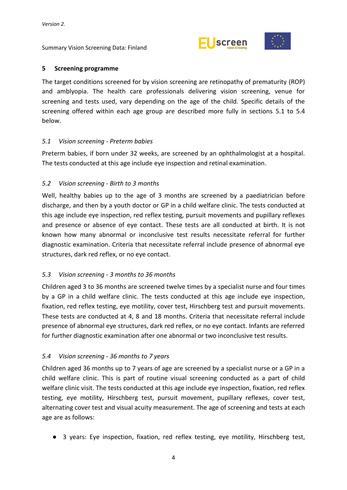



#### <span id="page-9-0"></span>**5 Screening programme**

The target conditions screened for by vision screening are retinopathy of prematurity (ROP) and amblyopia. The health care professionals delivering vision screening, venue for screening and tests used, vary depending on the age of the child. Specific details of the screening offered within each age group are described more fully in sections 5.1 to 5.4 below.

## <span id="page-9-1"></span>*5.1 Vision screening - Preterm babies*

Preterm babies, if born under 32 weeks, are screened by an ophthalmologist at a hospital. The tests conducted at this age include eye inspection and retinal examination.

## <span id="page-9-2"></span>*5.2 Vision screening - Birth to 3 months*

Well, healthy babies up to the age of 3 months are screened by a paediatrician before discharge, and then by a youth doctor or GP in a child welfare clinic. The tests conducted at this age include eye inspection, red reflex testing, pursuit movements and pupillary reflexes and presence or absence of eye contact. These tests are all conducted at birth. It is not known how many abnormal or inconclusive test results necessitate referral for further diagnostic examination. Criteria that necessitate referral include presence of abnormal eye structures, dark red reflex, or no eye contact.

## <span id="page-9-3"></span>*5.3 Vision screening - 3 months to 36 months*

Children aged 3 to 36 months are screened twelve times by a specialist nurse and four times by a GP in a child welfare clinic. The tests conducted at this age include eye inspection, fixation, red reflex testing, eye motility, cover test, Hirschberg test and pursuit movements. These tests are conducted at 4, 8 and 18 months. Criteria that necessitate referral include presence of abnormal eye structures, dark red reflex, or no eye contact. Infants are referred for further diagnostic examination after one abnormal or two inconclusive test results.

## <span id="page-9-4"></span>*5.4 Vision screening - 36 months to 7 years*

Children aged 36 months up to 7 years of age are screened by a specialist nurse or a GP in a child welfare clinic. This is part of routine visual screening conducted as a part of child welfare clinic visit. The tests conducted at this age include eye inspection, fixation, red reflex testing, eye motility, Hirschberg test, pursuit movement, pupillary reflexes, cover test, alternating cover test and visual acuity measurement. The age of screening and tests at each age are as follows:

● 3 years: Eye inspection, fixation, red reflex testing, eye motility, Hirschberg test,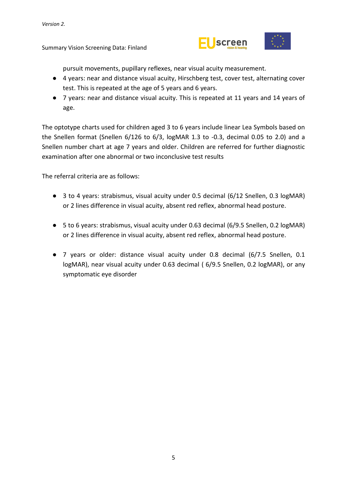

pursuit movements, pupillary reflexes, near visual acuity measurement.

- 4 years: near and distance visual acuity, Hirschberg test, cover test, alternating cover test. This is repeated at the age of 5 years and 6 years.
- 7 years: near and distance visual acuity. This is repeated at 11 years and 14 years of age.

The optotype charts used for children aged 3 to 6 years include linear Lea Symbols based on the Snellen format (Snellen 6/126 to 6/3, logMAR 1.3 to -0.3, decimal 0.05 to 2.0) and a Snellen number chart at age 7 years and older. Children are referred for further diagnostic examination after one abnormal or two inconclusive test results

The referral criteria are as follows:

- 3 to 4 years: strabismus, visual acuity under 0.5 decimal (6/12 Snellen, 0.3 logMAR) or 2 lines difference in visual acuity, absent red reflex, abnormal head posture.
- 5 to 6 years: strabismus, visual acuity under 0.63 decimal (6/9.5 Snellen, 0.2 logMAR) or 2 lines difference in visual acuity, absent red reflex, abnormal head posture.
- 7 years or older: distance visual acuity under 0.8 decimal (6/7.5 Snellen, 0.1 logMAR), near visual acuity under 0.63 decimal ( 6/9.5 Snellen, 0.2 logMAR), or any symptomatic eye disorder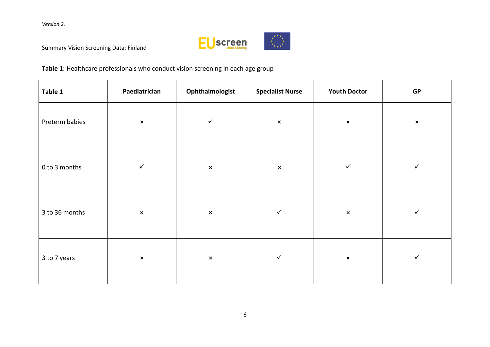

Summary Vision Screening Data: Finland

## **Table 1:** Healthcare professionals who conduct vision screening in each age group

| Table 1        | Paediatrician  | Ophthalmologist | <b>Specialist Nurse</b> | <b>Youth Doctor</b> | ${\sf GP}$     |  |
|----------------|----------------|-----------------|-------------------------|---------------------|----------------|--|
| Preterm babies | $\pmb{\times}$ | $\checkmark$    | $\pmb{\times}$          | $\pmb{\times}$      | $\pmb{\times}$ |  |
| 0 to 3 months  | $\checkmark$   | $\pmb{\times}$  | $\pmb{\times}$          | $\checkmark$        | $\checkmark$   |  |
| 3 to 36 months | $\pmb{\times}$ | $\pmb{\times}$  | $\checkmark$            | $\pmb{\times}$      | $\checkmark$   |  |
| 3 to 7 years   | $\pmb{\times}$ | $\pmb{\times}$  | $\checkmark$            | $\pmb{\times}$      | $\checkmark$   |  |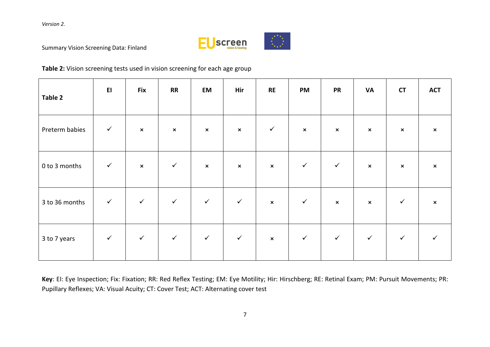

Summary Vision Screening Data: Finland

## **Table 2:** Vision screening tests used in vision screening for each age group

| Table 2        | E1           | <b>Fix</b>     | <b>RR</b>      | EM             | Hir            | RE             | <b>PM</b>      | <b>PR</b>      | <b>VA</b>      | <b>CT</b>      | <b>ACT</b>                |
|----------------|--------------|----------------|----------------|----------------|----------------|----------------|----------------|----------------|----------------|----------------|---------------------------|
| Preterm babies | $\checkmark$ | $\pmb{\times}$ | $\pmb{\times}$ | $\pmb{\times}$ | $\pmb{\times}$ | $\checkmark$   | $\pmb{\times}$ | $\pmb{\times}$ | $\pmb{\times}$ | $\pmb{\times}$ | $\pmb{\times}$            |
| 0 to 3 months  | $\checkmark$ | $\pmb{\times}$ | $\checkmark$   | $\pmb{\times}$ | $\pmb{\times}$ | $\pmb{\times}$ | $\checkmark$   | $\checkmark$   | $\pmb{\times}$ | $\pmb{\times}$ | $\boldsymbol{\mathsf{x}}$ |
| 3 to 36 months | $\checkmark$ | $\checkmark$   | $\checkmark$   | $\checkmark$   | $\checkmark$   | $\pmb{\times}$ | $\checkmark$   | $\pmb{\times}$ | $\pmb{\times}$ | $\checkmark$   | $\pmb{\times}$            |
| 3 to 7 years   | $\checkmark$ | $\checkmark$   | $\checkmark$   | $\checkmark$   | $\checkmark$   | $\pmb{\times}$ | $\checkmark$   | $\checkmark$   | $\checkmark$   | $\checkmark$   |                           |

**Key**: EI: Eye Inspection; Fix: Fixation; RR: Red Reflex Testing; EM: Eye Motility; Hir: Hirschberg; RE: Retinal Exam; PM: Pursuit Movements; PR: Pupillary Reflexes; VA: Visual Acuity; CT: Cover Test; ACT: Alternating cover test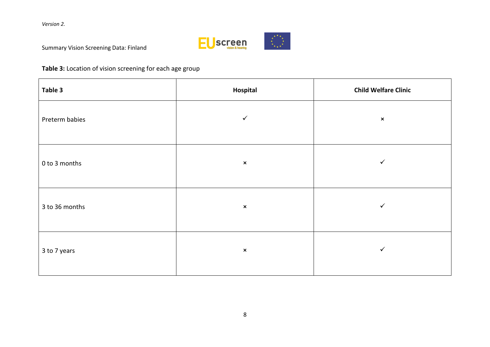

Summary Vision Screening Data: Finland

## **Table 3:** Location of vision screening for each age group

| Table 3        | Hospital       | <b>Child Welfare Clinic</b> |
|----------------|----------------|-----------------------------|
| Preterm babies | $\checkmark$   | $\pmb{\times}$              |
| 0 to 3 months  | $\pmb{\times}$ | $\checkmark$                |
| 3 to 36 months | $\pmb{\times}$ | ✓                           |
| 3 to 7 years   | $\pmb{\times}$ | $\checkmark$                |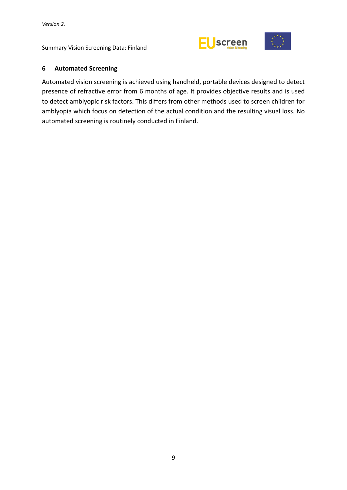



## <span id="page-14-0"></span>**6 Automated Screening**

Automated vision screening is achieved using handheld, portable devices designed to detect presence of refractive error from 6 months of age. It provides objective results and is used to detect amblyopic risk factors. This differs from other methods used to screen children for amblyopia which focus on detection of the actual condition and the resulting visual loss. No automated screening is routinely conducted in Finland.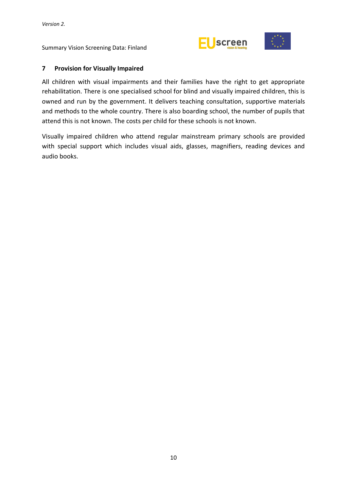



#### <span id="page-15-0"></span>**7 Provision for Visually Impaired**

All children with visual impairments and their families have the right to get appropriate rehabilitation. There is one specialised school for blind and visually impaired children, this is owned and run by the government. It delivers teaching consultation, supportive materials and methods to the whole country. There is also boarding school, the number of pupils that attend this is not known. The costs per child for these schools is not known.

Visually impaired children who attend regular mainstream primary schools are provided with special support which includes visual aids, glasses, magnifiers, reading devices and audio books.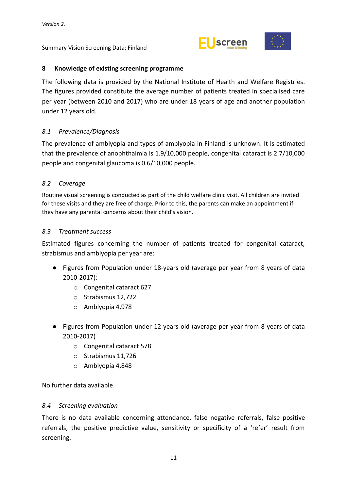



## <span id="page-16-0"></span>**8 Knowledge of existing screening programme**

The following data is provided by the National Institute of Health and Welfare Registries. The figures provided constitute the average number of patients treated in specialised care per year (between 2010 and 2017) who are under 18 years of age and another population under 12 years old.

## <span id="page-16-1"></span>*8.1 Prevalence/Diagnosis*

The prevalence of amblyopia and types of amblyopia in Finland is unknown. It is estimated that the prevalence of anophthalmia is 1.9/10,000 people, congenital cataract is 2.7/10,000 people and congenital glaucoma is 0.6/10,000 people.

## <span id="page-16-2"></span>*8.2 Coverage*

Routine visual screening is conducted as part of the child welfare clinic visit. All children are invited for these visits and they are free of charge. Prior to this, the parents can make an appointment if they have any parental concerns about their child's vision.

## <span id="page-16-3"></span>*8.3 Treatment success*

Estimated figures concerning the number of patients treated for congenital cataract, strabismus and amblyopia per year are:

- Figures from Population under 18-years old (average per year from 8 years of data 2010-2017):
	- o Congenital cataract 627
	- o Strabismus 12,722
	- o Amblyopia 4,978
- Figures from Population under 12-years old (average per year from 8 years of data 2010-2017)
	- o Congenital cataract 578
	- o Strabismus 11,726
	- o Amblyopia 4,848

No further data available.

#### <span id="page-16-4"></span>*8.4 Screening evaluation*

There is no data available concerning attendance, false negative referrals, false positive referrals, the positive predictive value, sensitivity or specificity of a 'refer' result from screening.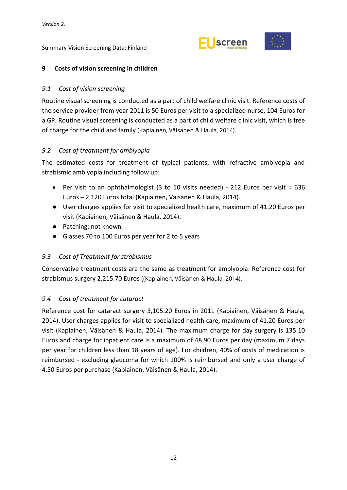



## <span id="page-17-0"></span>**9 Costs of vision screening in children**

## <span id="page-17-1"></span>*9.1 Cost of vision screening*

Routine visual screening is conducted as a part of child welfare clinic visit. Reference costs of the service provider from year 2011 is 50 Euros per visit to a specialized nurse, 104 Euros for a GP. Routine visual screening is conducted as a part of child welfare clinic visit, which is free of charge for the child and family (Kapiainen, Väisänen & Haula, 2014).

## <span id="page-17-2"></span>*9.2 Cost of treatment for amblyopia*

The estimated costs for treatment of typical patients, with refractive amblyopia and strabismic amblyopia including follow up:

- Per visit to an ophthalmologist (3 to 10 visits needed) 212 Euros per visit = 636 Euros – 2,120 Euros total (Kapiainen, Väisänen & Haula, 2014).
- User charges applies for visit to specialized health care, maximum of 41.20 Euros per visit (Kapiainen, Väisänen & Haula, 2014).
- Patching: not known
- Glasses 70 to 100 Euros per year for 2 to 5 years

## <span id="page-17-3"></span>*9.3 Cost of Treatment for strabismus*

Conservative treatment costs are the same as treatment for amblyopia. Reference cost for strabismus surgery 2,215.70 Euros ((Kapiainen, Väisänen & Haula, 2014).

## <span id="page-17-4"></span>*9.4 Cost of treatment for cataract*

Reference cost for cataract surgery 3,105.20 Euros in 2011 (Kapiainen, Väisänen & Haula, 2014). User charges applies for visit to specialized health care, maximum of 41.20 Euros per visit (Kapiainen, Väisänen & Haula, 2014). The maximum charge for day surgery is 135.10 Euros and charge for inpatient care is a maximum of 48.90 Euros per day (maximum 7 days per year for children less than 18 years of age). For children, 40% of costs of medication is reimbursed - excluding glaucoma for which 100% is reimbursed and only a user charge of 4.50 Euros per purchase (Kapiainen, Väisänen & Haula, 2014).